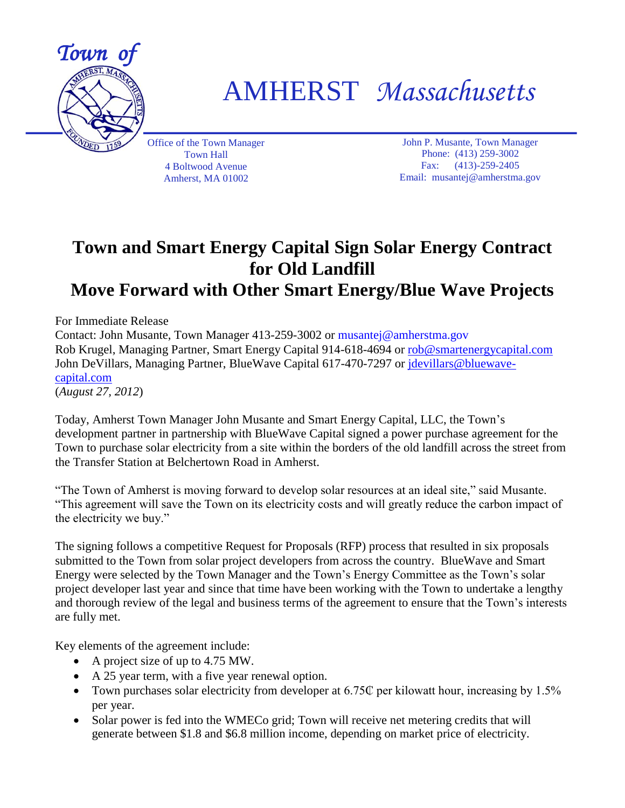

AMHERST *Massachusetts*

Office of the Town Manager Town Hall 4 Boltwood Avenue Amherst, MA 01002

John P. Musante, Town Manager Phone: (413) 259-3002 Fax: (413)-259-2405 Email: musantej@amherstma.gov

## **Town and Smart Energy Capital Sign Solar Energy Contract for Old Landfill Move Forward with Other Smart Energy/Blue Wave Projects**

For Immediate Release

Contact: John Musante, Town Manager 413-259-3002 or musantej@amherstma.gov Rob Krugel, Managing Partner, Smart Energy Capital 914-618-4694 or [rob@smartenergycapital.com](mailto:rob@smartenergycapital.com) John DeVillars, Managing Partner, BlueWave Capital 617-470-7297 or [jdevillars@bluewave](mailto:jdevillars@bluewave-capital.com)[capital.com](mailto:jdevillars@bluewave-capital.com) (*August 27, 2012*)

Today, Amherst Town Manager John Musante and Smart Energy Capital, LLC, the Town's development partner in partnership with BlueWave Capital signed a power purchase agreement for the Town to purchase solar electricity from a site within the borders of the old landfill across the street from the Transfer Station at Belchertown Road in Amherst.

"The Town of Amherst is moving forward to develop solar resources at an ideal site," said Musante. "This agreement will save the Town on its electricity costs and will greatly reduce the carbon impact of the electricity we buy."

The signing follows a competitive Request for Proposals (RFP) process that resulted in six proposals submitted to the Town from solar project developers from across the country. BlueWave and Smart Energy were selected by the Town Manager and the Town's Energy Committee as the Town's solar project developer last year and since that time have been working with the Town to undertake a lengthy and thorough review of the legal and business terms of the agreement to ensure that the Town's interests are fully met.

Key elements of the agreement include:

- A project size of up to 4.75 MW.
- A 25 year term, with a five year renewal option.
- Town purchases solar electricity from developer at 6.75 $\mathbb{C}$  per kilowatt hour, increasing by 1.5% per year.
- Solar power is fed into the WMECo grid; Town will receive net metering credits that will generate between \$1.8 and \$6.8 million income, depending on market price of electricity.